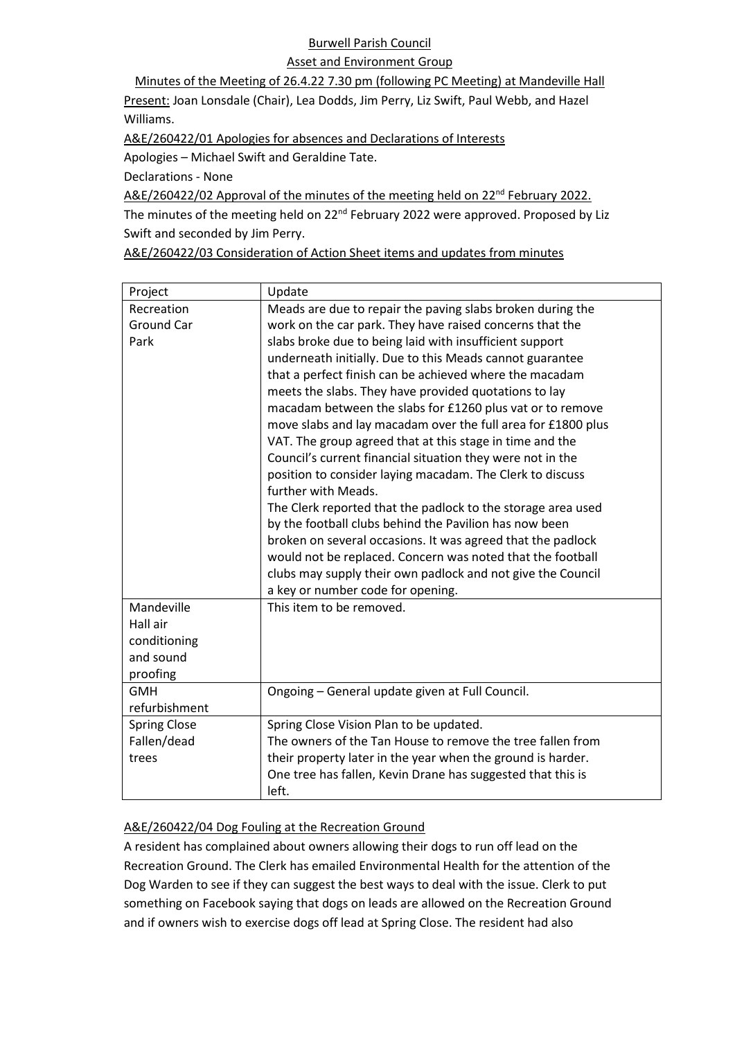## Burwell Parish Council

#### Asset and Environment Group

Minutes of the Meeting of 26.4.22 7.30 pm (following PC Meeting) at Mandeville Hall Present: Joan Lonsdale (Chair), Lea Dodds, Jim Perry, Liz Swift, Paul Webb, and Hazel Williams.

A&E/260422/01 Apologies for absences and Declarations of Interests

Apologies – Michael Swift and Geraldine Tate.

Declarations - None

A&E/260422/02 Approval of the minutes of the meeting held on 22<sup>nd</sup> February 2022. The minutes of the meeting held on 22<sup>nd</sup> February 2022 were approved. Proposed by Liz Swift and seconded by Jim Perry.

A&E/260422/03 Consideration of Action Sheet items and updates from minutes

| Project             | Update                                                       |
|---------------------|--------------------------------------------------------------|
| Recreation          | Meads are due to repair the paving slabs broken during the   |
| Ground Car          | work on the car park. They have raised concerns that the     |
| Park                | slabs broke due to being laid with insufficient support      |
|                     | underneath initially. Due to this Meads cannot guarantee     |
|                     | that a perfect finish can be achieved where the macadam      |
|                     | meets the slabs. They have provided quotations to lay        |
|                     | macadam between the slabs for £1260 plus vat or to remove    |
|                     | move slabs and lay macadam over the full area for £1800 plus |
|                     | VAT. The group agreed that at this stage in time and the     |
|                     | Council's current financial situation they were not in the   |
|                     | position to consider laying macadam. The Clerk to discuss    |
|                     | further with Meads.                                          |
|                     | The Clerk reported that the padlock to the storage area used |
|                     | by the football clubs behind the Pavilion has now been       |
|                     | broken on several occasions. It was agreed that the padlock  |
|                     | would not be replaced. Concern was noted that the football   |
|                     | clubs may supply their own padlock and not give the Council  |
|                     | a key or number code for opening.                            |
| Mandeville          | This item to be removed.                                     |
| Hall air            |                                                              |
| conditioning        |                                                              |
| and sound           |                                                              |
| proofing            |                                                              |
| <b>GMH</b>          | Ongoing - General update given at Full Council.              |
| refurbishment       |                                                              |
| <b>Spring Close</b> | Spring Close Vision Plan to be updated.                      |
| Fallen/dead         | The owners of the Tan House to remove the tree fallen from   |
| trees               | their property later in the year when the ground is harder.  |
|                     | One tree has fallen, Kevin Drane has suggested that this is  |
|                     | left.                                                        |

## A&E/260422/04 Dog Fouling at the Recreation Ground

A resident has complained about owners allowing their dogs to run off lead on the Recreation Ground. The Clerk has emailed Environmental Health for the attention of the Dog Warden to see if they can suggest the best ways to deal with the issue. Clerk to put something on Facebook saying that dogs on leads are allowed on the Recreation Ground and if owners wish to exercise dogs off lead at Spring Close. The resident had also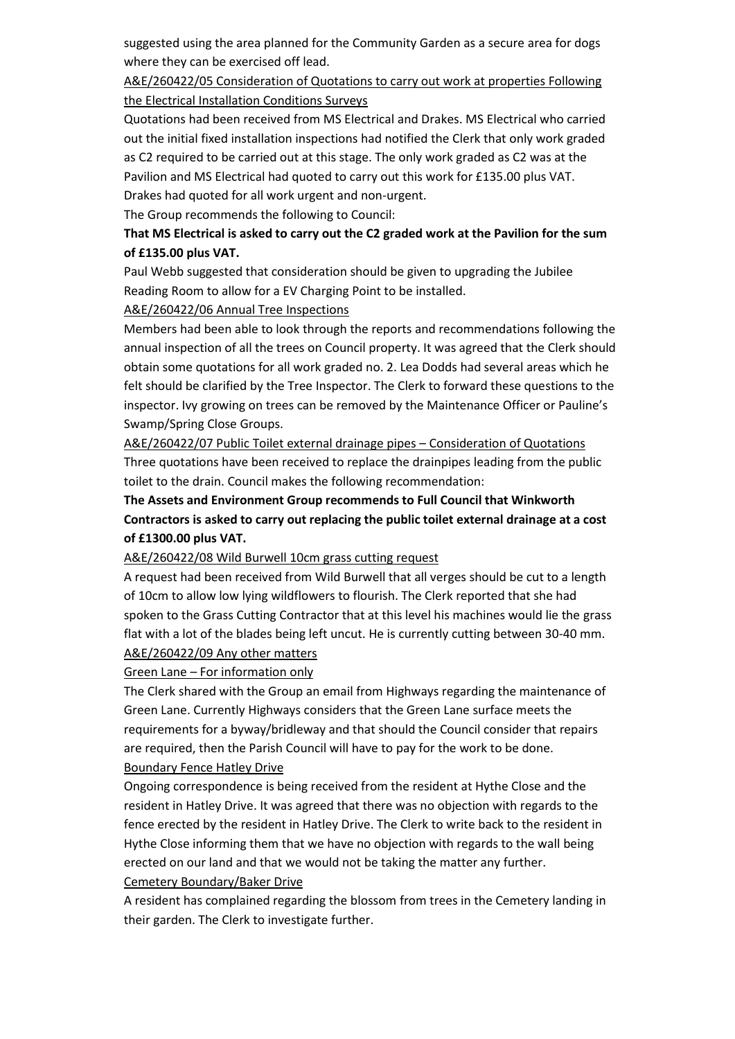suggested using the area planned for the Community Garden as a secure area for dogs where they can be exercised off lead.

A&E/260422/05 Consideration of Quotations to carry out work at properties Following the Electrical Installation Conditions Surveys

Quotations had been received from MS Electrical and Drakes. MS Electrical who carried out the initial fixed installation inspections had notified the Clerk that only work graded as C2 required to be carried out at this stage. The only work graded as C2 was at the Pavilion and MS Electrical had quoted to carry out this work for £135.00 plus VAT. Drakes had quoted for all work urgent and non-urgent.

The Group recommends the following to Council:

# **That MS Electrical is asked to carry out the C2 graded work at the Pavilion for the sum of £135.00 plus VAT.**

Paul Webb suggested that consideration should be given to upgrading the Jubilee Reading Room to allow for a EV Charging Point to be installed.

#### A&E/260422/06 Annual Tree Inspections

Members had been able to look through the reports and recommendations following the annual inspection of all the trees on Council property. It was agreed that the Clerk should obtain some quotations for all work graded no. 2. Lea Dodds had several areas which he felt should be clarified by the Tree Inspector. The Clerk to forward these questions to the inspector. Ivy growing on trees can be removed by the Maintenance Officer or Pauline's Swamp/Spring Close Groups.

A&E/260422/07 Public Toilet external drainage pipes – Consideration of Quotations Three quotations have been received to replace the drainpipes leading from the public toilet to the drain. Council makes the following recommendation:

## **The Assets and Environment Group recommends to Full Council that Winkworth Contractors is asked to carry out replacing the public toilet external drainage at a cost of £1300.00 plus VAT.**

#### A&E/260422/08 Wild Burwell 10cm grass cutting request

A request had been received from Wild Burwell that all verges should be cut to a length of 10cm to allow low lying wildflowers to flourish. The Clerk reported that she had spoken to the Grass Cutting Contractor that at this level his machines would lie the grass flat with a lot of the blades being left uncut. He is currently cutting between 30-40 mm. A&E/260422/09 Any other matters

Green Lane – For information only

The Clerk shared with the Group an email from Highways regarding the maintenance of Green Lane. Currently Highways considers that the Green Lane surface meets the requirements for a byway/bridleway and that should the Council consider that repairs are required, then the Parish Council will have to pay for the work to be done. Boundary Fence Hatley Drive

Ongoing correspondence is being received from the resident at Hythe Close and the resident in Hatley Drive. It was agreed that there was no objection with regards to the fence erected by the resident in Hatley Drive. The Clerk to write back to the resident in Hythe Close informing them that we have no objection with regards to the wall being erected on our land and that we would not be taking the matter any further. Cemetery Boundary/Baker Drive

A resident has complained regarding the blossom from trees in the Cemetery landing in their garden. The Clerk to investigate further.